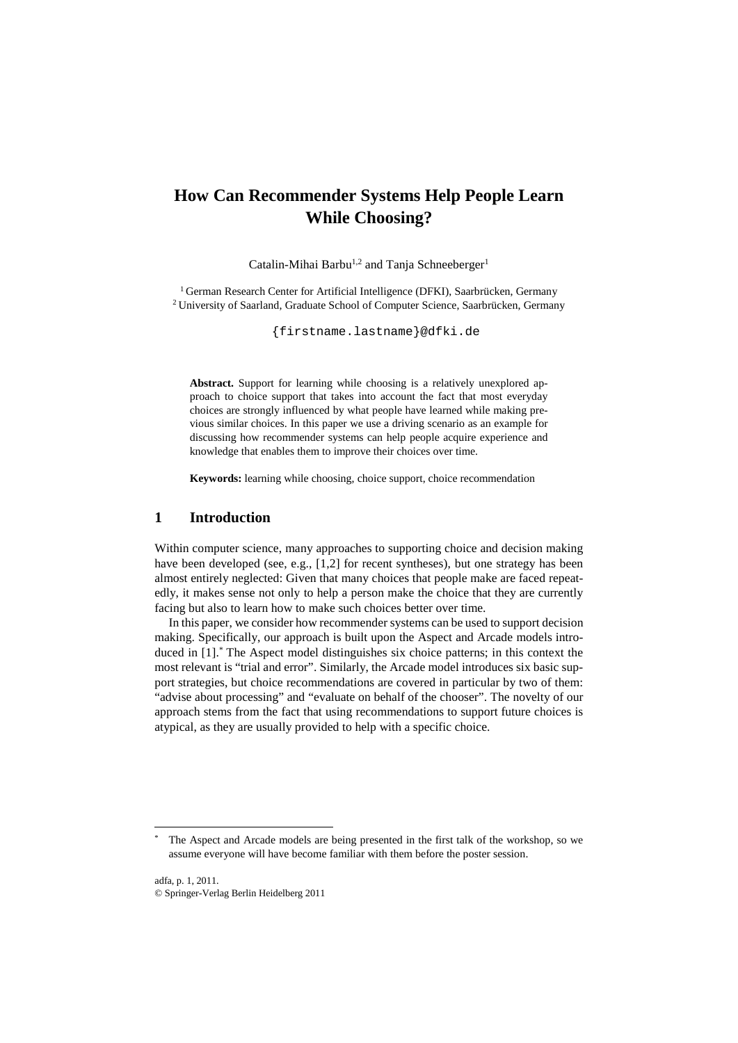# **How Can Recommender Systems Help People Learn While Choosing?**

Catalin-Mihai Barbu<sup>1,2</sup> and Tanja Schneeberger<sup>1</sup>

<sup>1</sup> German Research Center for Artificial Intelligence (DFKI), Saarbrücken, Germany <sup>2</sup> University of Saarland, Graduate School of Computer Science, Saarbrücken, Germany

{firstname.lastname}@dfki.de

**Abstract.** Support for learning while choosing is a relatively unexplored approach to choice support that takes into account the fact that most everyday choices are strongly influenced by what people have learned while making previous similar choices. In this paper we use a driving scenario as an example for discussing how recommender systems can help people acquire experience and knowledge that enables them to improve their choices over time.

**Keywords:** learning while choosing, choice support, choice recommendation

#### **1 Introduction**

Within computer science, many approaches to supporting choice and decision making have been developed (see, e.g., [1,2] for recent syntheses), but one strategy has been almost entirely neglected: Given that many choices that people make are faced repeatedly, it makes sense not only to help a person make the choice that they are currently facing but also to learn how to make such choices better over time.

In this paper, we consider how recommender systems can be used to support decision making. Specifically, our approach is built upon the Aspect and Arcade models introduced in [1].\* The Aspect model distinguishes six choice patterns; in this context the most relevant is "trial and error". Similarly, the Arcade model introduces six basic support strategies, but choice recommendations are covered in particular by two of them: "advise about processing" and "evaluate on behalf of the chooser". The novelty of our approach stems from the fact that using recommendations to support future choices is atypical, as they are usually provided to help with a specific choice.

The Aspect and Arcade models are being presented in the first talk of the workshop, so we assume everyone will have become familiar with them before the poster session.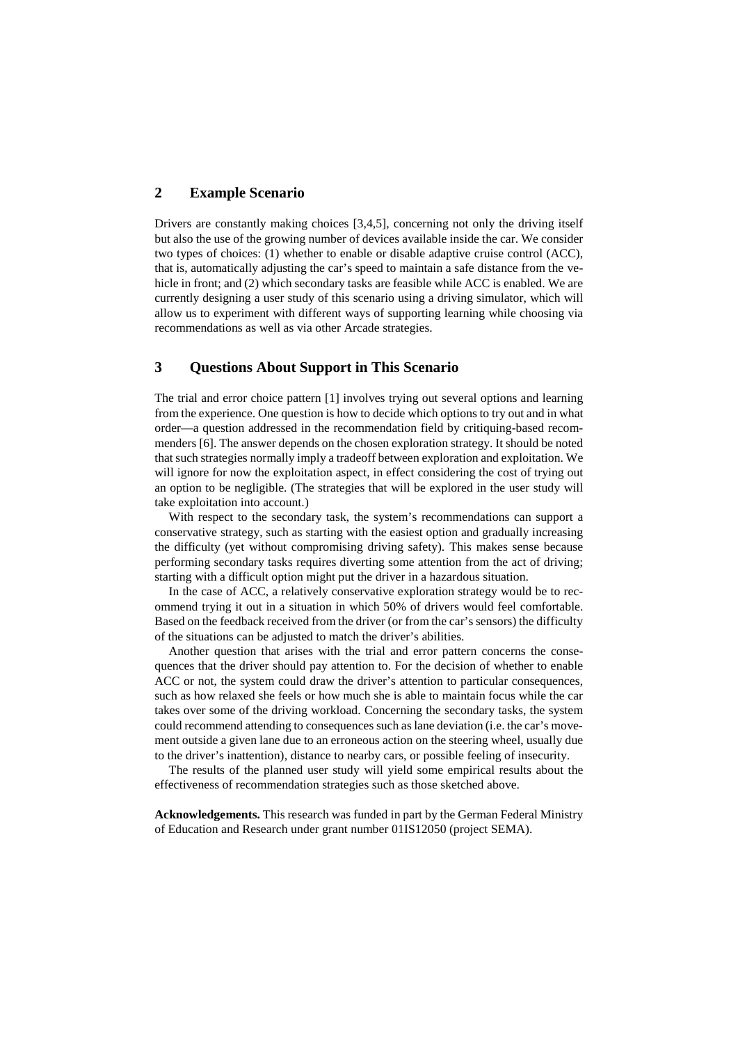### **2 Example Scenario**

Drivers are constantly making choices [3,4,5], concerning not only the driving itself but also the use of the growing number of devices available inside the car. We consider two types of choices: (1) whether to enable or disable adaptive cruise control (ACC), that is, automatically adjusting the car's speed to maintain a safe distance from the vehicle in front; and (2) which secondary tasks are feasible while ACC is enabled. We are currently designing a user study of this scenario using a driving simulator, which will allow us to experiment with different ways of supporting learning while choosing via recommendations as well as via other Arcade strategies.

#### **3 Questions About Support in This Scenario**

The trial and error choice pattern [1] involves trying out several options and learning from the experience. One question is how to decide which options to try out and in what order—a question addressed in the recommendation field by critiquing-based recommenders [6]. The answer depends on the chosen exploration strategy. It should be noted that such strategies normally imply a tradeoff between exploration and exploitation. We will ignore for now the exploitation aspect, in effect considering the cost of trying out an option to be negligible. (The strategies that will be explored in the user study will take exploitation into account.)

With respect to the secondary task, the system's recommendations can support a conservative strategy, such as starting with the easiest option and gradually increasing the difficulty (yet without compromising driving safety). This makes sense because performing secondary tasks requires diverting some attention from the act of driving; starting with a difficult option might put the driver in a hazardous situation.

In the case of ACC, a relatively conservative exploration strategy would be to recommend trying it out in a situation in which 50% of drivers would feel comfortable. Based on the feedback received from the driver (or from the car's sensors) the difficulty of the situations can be adjusted to match the driver's abilities.

Another question that arises with the trial and error pattern concerns the consequences that the driver should pay attention to. For the decision of whether to enable ACC or not, the system could draw the driver's attention to particular consequences, such as how relaxed she feels or how much she is able to maintain focus while the car takes over some of the driving workload. Concerning the secondary tasks, the system could recommend attending to consequences such as lane deviation (i.e. the car's movement outside a given lane due to an erroneous action on the steering wheel, usually due to the driver's inattention), distance to nearby cars, or possible feeling of insecurity.

The results of the planned user study will yield some empirical results about the effectiveness of recommendation strategies such as those sketched above.

**Acknowledgements.** This research was funded in part by the German Federal Ministry of Education and Research under grant number 01IS12050 (project SEMA).